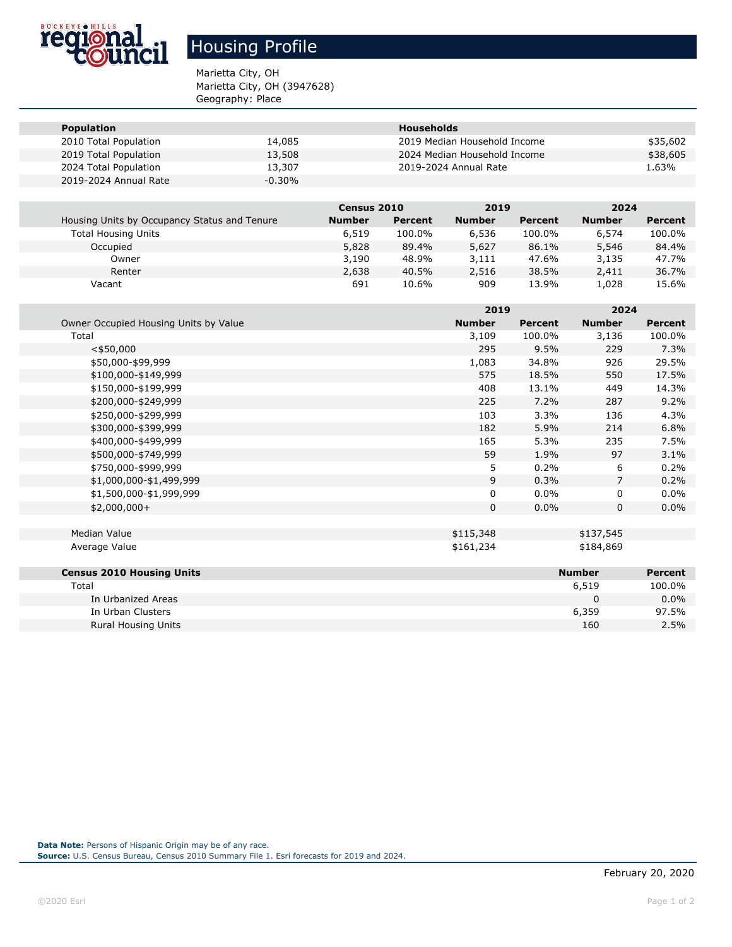

## Housing Profile

Marietta City, OH Marietta City, OH (3947628) Geography: Place

| <b>Population</b>     |           | <b>Households</b>            |          |
|-----------------------|-----------|------------------------------|----------|
| 2010 Total Population | 14,085    | 2019 Median Household Income | \$35,602 |
| 2019 Total Population | 13,508    | 2024 Median Household Income | \$38,605 |
| 2024 Total Population | 13,307    | 2019-2024 Annual Rate        | 1.63%    |
| 2019-2024 Annual Rate | $-0.30\%$ |                              |          |

|                                              | <b>Census 2010</b> |         | 2019          |         | 2024          |         |
|----------------------------------------------|--------------------|---------|---------------|---------|---------------|---------|
| Housing Units by Occupancy Status and Tenure | <b>Number</b>      | Percent | <b>Number</b> | Percent | <b>Number</b> | Percent |
| <b>Total Housing Units</b>                   | 6,519              | 100.0%  | 6,536         | 100.0%  | 6,574         | 100.0%  |
| Occupied                                     | 5,828              | 89.4%   | 5,627         | 86.1%   | 5,546         | 84.4%   |
| Owner                                        | 3,190              | 48.9%   | 3,111         | 47.6%   | 3,135         | 47.7%   |
| Renter                                       | 2,638              | 40.5%   | 2,516         | 38.5%   | 2,411         | 36.7%   |
| Vacant                                       | 691                | 10.6%   | 909           | 13.9%   | 1,028         | 15.6%   |

|                                       |               | 2019      |                | 2024           |  |
|---------------------------------------|---------------|-----------|----------------|----------------|--|
| Owner Occupied Housing Units by Value | <b>Number</b> | Percent   | <b>Number</b>  | <b>Percent</b> |  |
| Total                                 | 3,109         | 100.0%    | 3,136          | 100.0%         |  |
| $<$ \$50,000                          | 295           | 9.5%      | 229            | 7.3%           |  |
| \$50,000-\$99,999                     | 1,083         | 34.8%     | 926            | 29.5%          |  |
| \$100,000-\$149,999                   | 575           | 18.5%     | 550            | 17.5%          |  |
| \$150,000-\$199,999                   | 408           | 13.1%     | 449            | 14.3%          |  |
| \$200,000-\$249,999                   | 225           | 7.2%      | 287            | 9.2%           |  |
| \$250,000-\$299,999                   | 103           | 3.3%      | 136            | 4.3%           |  |
| \$300,000-\$399,999                   | 182           | 5.9%      | 214            | 6.8%           |  |
| \$400,000-\$499,999                   | 165           | 5.3%      | 235            | 7.5%           |  |
| \$500,000-\$749,999                   | 59            | 1.9%      | 97             | 3.1%           |  |
| \$750,000-\$999,999                   | 5             | 0.2%      | 6              | 0.2%           |  |
| \$1,000,000-\$1,499,999               | 9             | 0.3%      | $\overline{7}$ | 0.2%           |  |
| \$1,500,000-\$1,999,999               | $\mathbf 0$   | 0.0%      | 0              | $0.0\%$        |  |
| $$2,000,000+$                         | 0             | 0.0%      | 0              | $0.0\%$        |  |
|                                       |               |           |                |                |  |
| Median Value                          | \$115,348     | \$137,545 |                |                |  |
| Average Value                         | \$161,234     |           | \$184,869      |                |  |
| <b>Census 2010 Housing Units</b>      |               |           | <b>Number</b>  | <b>Percent</b> |  |
| Total                                 |               |           | 6,519          | 100.0%         |  |
| In Urbanized Areas                    |               |           | 0              | $0.0\%$        |  |
| In Urban Clusters                     |               |           | 6,359          | 97.5%          |  |
| <b>Rural Housing Units</b>            |               |           | 160            | 2.5%           |  |

**Data Note:** Persons of Hispanic Origin may be of any race.